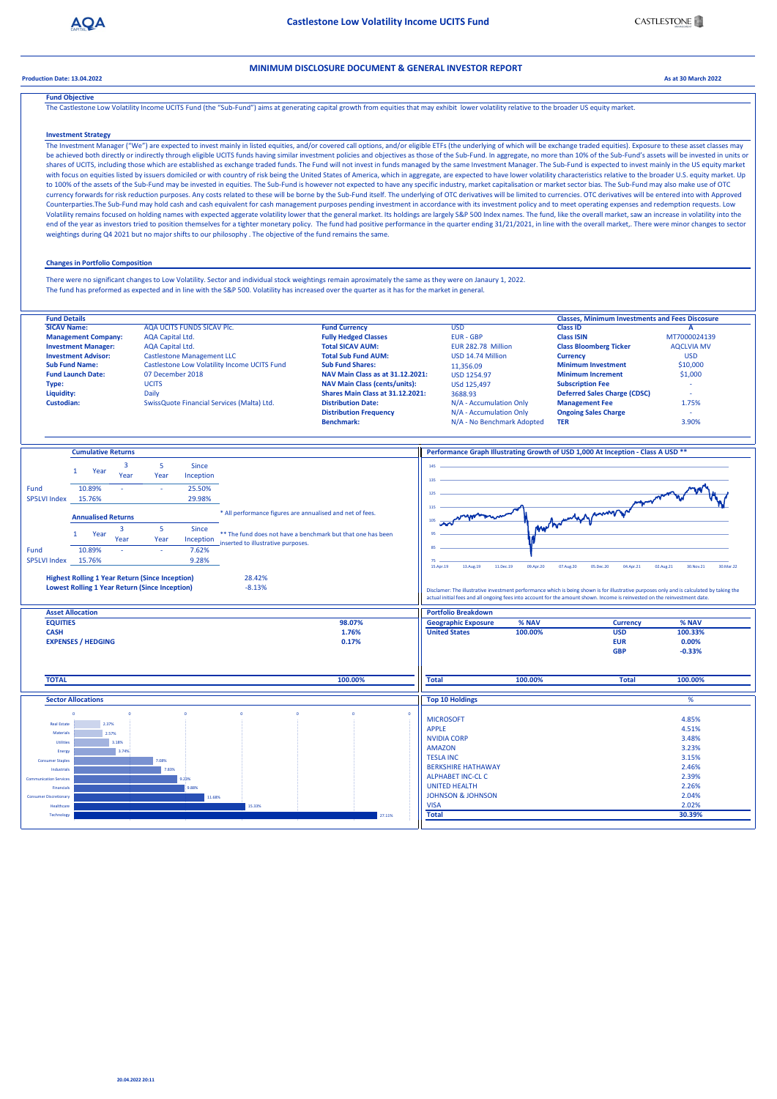



**Production Date: 13.04.2022 As at 30 March 2022**

## **Fund Objective**

The Castlestone Low Volatility Income UCITS Fund (the "Sub-Fund") aims at generating capital growth from equities that may exhibit lower volatility relative to the broader US equity market.

## **Investment Strategy**

## **Changes in Portfolio Composition**

## **MINIMUM DISCLOSURE DOCUMENT & GENERAL INVESTOR REPORT**

The Investment Manager ("We") are expected to invest mainly in listed equities, and/or covered call options, and/or eligible ETFs (the underlying of which will be exchange traded equities). Exposure to these asset classes be achieved both directly or indirectly through eligible UCITS funds having similar investment policies and objectives as those of the Sub-Fund. In aggregate, no more than 10% of the Sub-Fund's assets will be invested in u shares of UCITS, including those which are established as exchange traded funds. The Fund will not invest in funds managed by the same Investment Manager. The Sub-Fund is expected to invest mainly in the US equity market with focus on equities listed by issuers domiciled or with country of risk being the United States of America, which in aggregate, are expected to have lower volatility characteristics relative to the broader U.S. equity m to 100% of the assets of the Sub-Fund may be invested in equities. The Sub-Fund is however not expected to have any specific industry, market capitalisation or market sector bias. The Sub-Fund may also make use of OTC currency forwards for risk reduction purposes. Any costs related to these will be borne by the Sub-Fund itself. The underlying of OTC derivatives will be limited to currencies. OTC derivatives will be entered into with App Counterparties.The Sub-Fund may hold cash and cash equivalent for cash management purposes pending investment in accordance with its investment policy and to meet operating expenses and redemption requests. Low Volatility remains focused on holding names with expected aggerate volatility lower that the general market. Its holdings are largely S&P 500 Index names. The fund, like the overall market, saw an increase in volatility in end of the year as investors tried to position themselves for a tighter monetary policy. The fund had positive performance in the quarter ending 31/21/2021, in line with the overall market,. There were minor changes to sec weightings during Q4 2021 but no major shifts to our philosophy . The objective of the fund remains the same.

| <b>Fund Details</b>        |                                                     |                                         | <b>Classes, Minimum Investments and Fees Discosure</b> |                                     |                   |
|----------------------------|-----------------------------------------------------|-----------------------------------------|--------------------------------------------------------|-------------------------------------|-------------------|
| <b>SICAV Name:</b>         | AQA UCITS FUNDS SICAV Plc.                          | <b>Fund Currency</b>                    | <b>USD</b>                                             | <b>Class ID</b>                     |                   |
| <b>Management Company:</b> | <b>AQA Capital Ltd.</b>                             | <b>Fully Hedged Classes</b>             | <b>EUR - GBP</b>                                       | <b>Class ISIN</b>                   | MT7000024139      |
| <b>Investment Manager:</b> | <b>AQA Capital Ltd.</b>                             | <b>Total SICAV AUM:</b>                 | EUR 282.78 Million                                     | <b>Class Bloomberg Ticker</b>       | <b>AQCLVIA MV</b> |
| <b>Investment Advisor:</b> | <b>Castlestone Management LLC</b>                   | <b>Total Sub Fund AUM:</b>              | USD 14.74 Million                                      | <b>Currency</b>                     | <b>USD</b>        |
| <b>Sub Fund Name:</b>      | <b>Castlestone Low Volatility Income UCITS Fund</b> | <b>Sub Fund Shares:</b>                 | 11,356.09                                              | <b>Minimum Investment</b>           | \$10,000          |
| <b>Fund Launch Date:</b>   | 07 December 2018                                    | NAV Main Class as at 31.12.2021:        | <b>USD 1254.97</b>                                     | <b>Minimum Increment</b>            | \$1,000           |
| <b>Type:</b>               | <b>UCITS</b>                                        | <b>NAV Main Class (cents/units):</b>    | <b>USd 125,497</b>                                     | <b>Subscription Fee</b>             | $\sim$            |
| Liquidity:                 | <b>Daily</b>                                        | <b>Shares Main Class at 31.12.2021:</b> | 3688.93                                                | <b>Deferred Sales Charge (CDSC)</b> | $\sim$            |
| <b>Custodian:</b>          | SwissQuote Financial Services (Malta) Ltd.          | <b>Distribution Date:</b>               | N/A - Accumulation Only                                | <b>Management Fee</b>               | 1.75%             |
|                            |                                                     | <b>Distribution Frequency</b>           | N/A - Accumulation Only                                | <b>Ongoing Sales Charge</b>         | $\sim$            |
|                            |                                                     | <b>Benchmark:</b>                       | N/A - No Benchmark Adopted                             | <b>TER</b>                          | 3.90%             |

|                                      | <b>Cumulative Returns</b>                              |                |        |           |                                                             |                              |                                                                                                                                           | Performance Graph Illustrating Growth of USD 1,000 At Inception - Class A USD **                                           |                                       |  |  |
|--------------------------------------|--------------------------------------------------------|----------------|--------|-----------|-------------------------------------------------------------|------------------------------|-------------------------------------------------------------------------------------------------------------------------------------------|----------------------------------------------------------------------------------------------------------------------------|---------------------------------------|--|--|
|                                      |                                                        |                |        |           |                                                             |                              |                                                                                                                                           |                                                                                                                            |                                       |  |  |
|                                      | Year                                                   | 3              | 5      | Since     |                                                             | 145                          |                                                                                                                                           |                                                                                                                            |                                       |  |  |
|                                      |                                                        | Year           | Year   | Inception |                                                             | 135                          |                                                                                                                                           |                                                                                                                            |                                       |  |  |
| Fund                                 | 10.89%                                                 |                | $\sim$ | 25.50%    |                                                             |                              |                                                                                                                                           |                                                                                                                            |                                       |  |  |
| <b>SP5LVI Index</b>                  | 15.76%                                                 |                |        | 29.98%    |                                                             | 125                          |                                                                                                                                           |                                                                                                                            |                                       |  |  |
|                                      |                                                        |                |        |           |                                                             | 115                          |                                                                                                                                           |                                                                                                                            |                                       |  |  |
|                                      | <b>Annualised Returns</b>                              |                |        |           | * All performance figures are annualised and net of fees.   |                              |                                                                                                                                           | morthouseholders and we have                                                                                               |                                       |  |  |
|                                      |                                                        | $\overline{3}$ | 5      | Since     |                                                             |                              |                                                                                                                                           |                                                                                                                            |                                       |  |  |
|                                      | Year                                                   | Year           | Year   |           | ** The fund does not have a benchmark but that one has been |                              |                                                                                                                                           |                                                                                                                            |                                       |  |  |
|                                      |                                                        |                |        | Inception | inserted to illustrative purposes.                          | 85                           |                                                                                                                                           |                                                                                                                            |                                       |  |  |
| Fund                                 | 10.89%                                                 | $\sim$         | $\sim$ | 7.62%     |                                                             |                              |                                                                                                                                           |                                                                                                                            |                                       |  |  |
| <b>SP5LVI Index</b>                  | 15.76%                                                 |                |        | 9.28%     |                                                             | 75<br>15.Apr.19<br>13.Aug.19 | 09.Apr.20<br>11.Dec.19<br>07.Aug.20                                                                                                       | 04.Apr.21<br>05.Dec.20                                                                                                     | 02.Aug.21<br>30. Nov. 21<br>30.Mar.22 |  |  |
|                                      |                                                        |                |        |           |                                                             |                              |                                                                                                                                           |                                                                                                                            |                                       |  |  |
|                                      | <b>Highest Rolling 1 Year Return (Since Inception)</b> |                |        |           | 28.42%                                                      |                              |                                                                                                                                           |                                                                                                                            |                                       |  |  |
|                                      | <b>Lowest Rolling 1 Year Return (Since Inception)</b>  |                |        |           | $-8.13%$                                                    |                              | Disclamer: The illustrative investment performance which is being shown is for illustrative purposes only and is calculated by taking the |                                                                                                                            |                                       |  |  |
|                                      |                                                        |                |        |           |                                                             |                              |                                                                                                                                           | actual initial fees and all ongoing fees into account for the amount shown. Income is reinvested on the reinvestment date. |                                       |  |  |
|                                      | <b>Asset Allocation</b>                                |                |        |           |                                                             | <b>Portfolio Breakdown</b>   |                                                                                                                                           |                                                                                                                            |                                       |  |  |
| <b>EQUITIES</b>                      |                                                        |                |        |           | 98.07%                                                      | <b>Geographic Exposure</b>   | % NAV                                                                                                                                     | <b>Currency</b>                                                                                                            | % NAV                                 |  |  |
| <b>CASH</b>                          |                                                        |                |        |           | 1.76%                                                       | <b>United States</b>         | 100.00%                                                                                                                                   | <b>USD</b>                                                                                                                 | 100.33%                               |  |  |
|                                      | <b>EXPENSES / HEDGING</b>                              |                |        |           | 0.17%                                                       |                              |                                                                                                                                           | <b>EUR</b>                                                                                                                 | $0.00\%$                              |  |  |
|                                      |                                                        |                |        |           |                                                             |                              |                                                                                                                                           | <b>GBP</b>                                                                                                                 | $-0.33%$                              |  |  |
|                                      |                                                        |                |        |           |                                                             |                              |                                                                                                                                           |                                                                                                                            |                                       |  |  |
|                                      |                                                        |                |        |           |                                                             |                              |                                                                                                                                           |                                                                                                                            |                                       |  |  |
| 100.00%<br><b>TOTAL</b>              |                                                        |                |        |           |                                                             | <b>Total</b>                 | 100.00%                                                                                                                                   | <b>Total</b>                                                                                                               | 100.00%                               |  |  |
|                                      |                                                        |                |        |           |                                                             |                              |                                                                                                                                           |                                                                                                                            |                                       |  |  |
|                                      | <b>Sector Allocations</b>                              |                |        |           |                                                             | <b>Top 10 Holdings</b>       |                                                                                                                                           |                                                                                                                            | %                                     |  |  |
|                                      | $\Omega$                                               | $\mathbf{0}$   |        |           | $\Omega$<br>$\mathbf{0}$                                    | $\overline{0}$               |                                                                                                                                           |                                                                                                                            |                                       |  |  |
|                                      |                                                        |                |        |           |                                                             | <b>MICROSOFT</b>             |                                                                                                                                           |                                                                                                                            | 4.85%                                 |  |  |
| <b>Real Estate</b>                   | 2.37%                                                  |                |        |           |                                                             | <b>APPLE</b>                 |                                                                                                                                           |                                                                                                                            | 4.51%                                 |  |  |
| <b>Materials</b><br><b>Utilities</b> |                                                        | 2.57%          |        |           |                                                             | <b>NVIDIA CORP</b>           |                                                                                                                                           |                                                                                                                            | 3.48%                                 |  |  |
|                                      |                                                        | 3.18%<br>3.74% |        |           |                                                             | <b>AMAZON</b>                |                                                                                                                                           |                                                                                                                            | 3.23%                                 |  |  |
| Energy<br><b>Consumer Staples</b>    |                                                        |                | 7.08%  |           |                                                             | <b>TESLA INC</b>             |                                                                                                                                           |                                                                                                                            | 3.15%                                 |  |  |
| Industrials                          |                                                        |                | 7.83%  |           |                                                             | <b>BERKSHIRE HATHAWAY</b>    |                                                                                                                                           |                                                                                                                            | 2.46%                                 |  |  |
| <b>Communication Services</b>        |                                                        |                |        | 9.23%     |                                                             | <b>ALPHABET INC-CL C</b>     |                                                                                                                                           |                                                                                                                            | 2.39%                                 |  |  |
| Financials                           |                                                        |                |        | 9.88%     |                                                             | <b>UNITED HEALTH</b>         |                                                                                                                                           |                                                                                                                            | 2.26%                                 |  |  |
| <b>Consumer Discretionary</b>        |                                                        |                |        | 11.68%    |                                                             | <b>JOHNSON &amp; JOHNSON</b> |                                                                                                                                           |                                                                                                                            | 2.04%                                 |  |  |
| Healthcare                           |                                                        |                |        |           | 15.33%                                                      | <b>VISA</b>                  |                                                                                                                                           |                                                                                                                            | 2.02%                                 |  |  |
| Technology                           |                                                        |                |        |           | 27.11%                                                      | <b>Total</b>                 |                                                                                                                                           |                                                                                                                            | 30.39%                                |  |  |
|                                      |                                                        |                |        |           |                                                             |                              |                                                                                                                                           |                                                                                                                            |                                       |  |  |

There were no significant changes to Low Volatility. Sector and individual stock weightings remain aproximately the same as they were on Janaury 1, 2022. The fund has preformed as expected and in line with the S&P 500. Volatility has increased over the quarter as it has for the market in general.

#### **20.04.2022 20:11**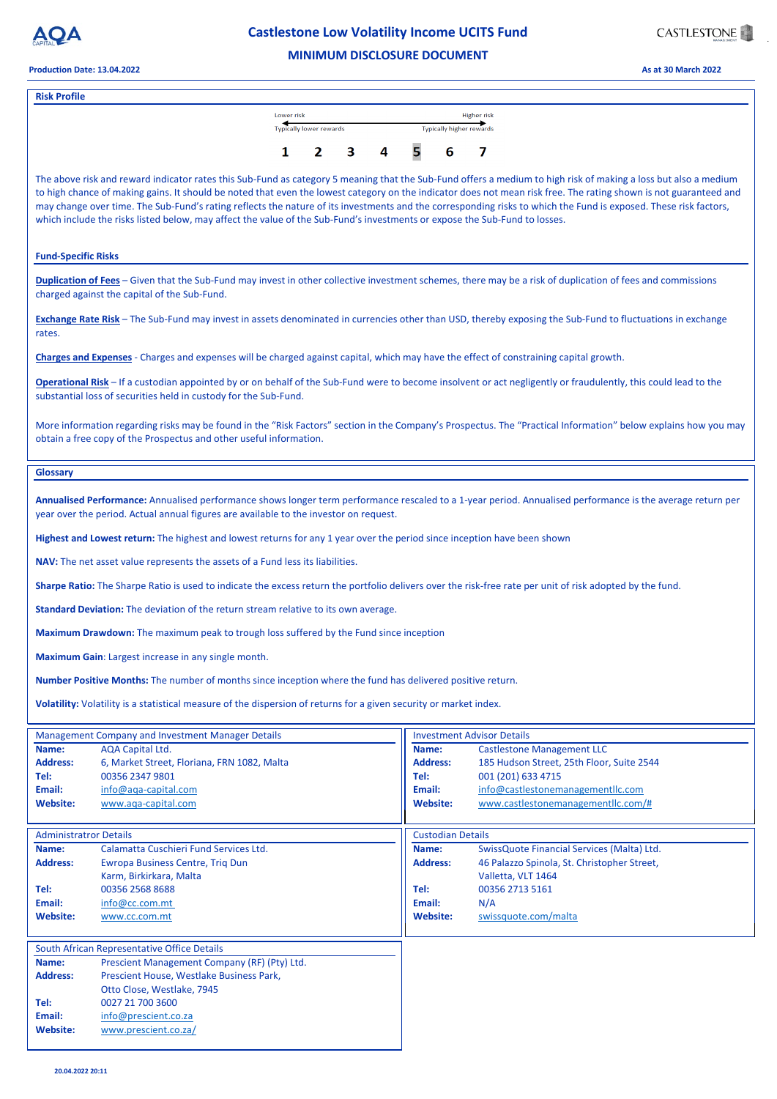

# **Castlestone Low Volatility Income UCITS Fund** .



### **Production Date: 13.04.2022 As at 30 March 2022**

| <b>Management Company and Investment Manager Details</b> |                                              |                 | <b>Investment Advisor Details</b>           |  |  |  |  |
|----------------------------------------------------------|----------------------------------------------|-----------------|---------------------------------------------|--|--|--|--|
| Name:                                                    | <b>AQA Capital Ltd.</b>                      | Name:           | <b>Castlestone Management LLC</b>           |  |  |  |  |
| <b>Address:</b>                                          | 6, Market Street, Floriana, FRN 1082, Malta  | <b>Address:</b> | 185 Hudson Street, 25th Floor, Suite 2544   |  |  |  |  |
| Tel:                                                     | 00356 2347 9801                              | Tel:            | 001 (201) 633 4715                          |  |  |  |  |
| Email:                                                   | info@aqa-capital.com                         | Email:          | info@castlestonemanagementllc.com           |  |  |  |  |
| <b>Website:</b>                                          | www.aqa-capital.com                          | Website:        | www.castlestonemanagementllc.com/#          |  |  |  |  |
| <b>Administratror Details</b>                            |                                              |                 | <b>Custodian Details</b>                    |  |  |  |  |
| Name:                                                    | Calamatta Cuschieri Fund Services Ltd.       | Name:           | SwissQuote Financial Services (Malta) Ltd.  |  |  |  |  |
| <b>Address:</b>                                          | <b>Ewropa Business Centre, Trig Dun</b>      | <b>Address:</b> | 46 Palazzo Spinola, St. Christopher Street, |  |  |  |  |
|                                                          | Karm, Birkirkara, Malta                      |                 | Valletta, VLT 1464                          |  |  |  |  |
| Tel:                                                     | 00356 2568 8688                              | Tel:            | 00356 2713 5161                             |  |  |  |  |
| Email:                                                   | info@cc.com.mt                               | Email:          | N/A                                         |  |  |  |  |
| <b>Website:</b>                                          | www.cc.com.mt                                | <b>Website:</b> | swissquote.com/malta                        |  |  |  |  |
|                                                          | South African Representative Office Details  |                 |                                             |  |  |  |  |
| Name:                                                    | Prescient Management Company (RF) (Pty) Ltd. |                 |                                             |  |  |  |  |
| <b>Address:</b>                                          | Prescient House, Westlake Business Park,     |                 |                                             |  |  |  |  |
|                                                          | Otto Close, Westlake, 7945                   |                 |                                             |  |  |  |  |
| Tel:                                                     | 0027 21 700 3600                             |                 |                                             |  |  |  |  |
| Email:                                                   | info@prescient.co.za                         |                 |                                             |  |  |  |  |
| <b>Website:</b>                                          | www.prescient.co.za/                         |                 |                                             |  |  |  |  |
|                                                          |                                              |                 |                                             |  |  |  |  |

**Volatility:** Volatility is a statistical measure of the dispersion of returns for a given security or market index.

**Number Positive Months:** The number of months since inception where the fund has delivered positive return.

## **MINIMUM DISCLOSURE DOCUMENT**

**Sharpe Ratio:** The Sharpe Ratio is used to indicate the excess return the portfolio delivers over the risk-free rate per unit of risk adopted by the fund.

**Standard Deviation:** The deviation of the return stream relative to its own average.

**Maximum Drawdown:** The maximum peak to trough loss suffered by the Fund since inception

**Maximum Gain**: Largest increase in any single month.

| <b>Risk Profile</b>                                                                                                                                                                                                                                                                                                                                                                                                                                                                                                                                                                                                                    |                                                                    |  |    |  |  |   |  |  |
|----------------------------------------------------------------------------------------------------------------------------------------------------------------------------------------------------------------------------------------------------------------------------------------------------------------------------------------------------------------------------------------------------------------------------------------------------------------------------------------------------------------------------------------------------------------------------------------------------------------------------------------|--------------------------------------------------------------------|--|----|--|--|---|--|--|
|                                                                                                                                                                                                                                                                                                                                                                                                                                                                                                                                                                                                                                        | Lower risk                                                         |  |    |  |  |   |  |  |
|                                                                                                                                                                                                                                                                                                                                                                                                                                                                                                                                                                                                                                        | Higher risk<br>Typically lower rewards<br>Typically higher rewards |  |    |  |  |   |  |  |
|                                                                                                                                                                                                                                                                                                                                                                                                                                                                                                                                                                                                                                        |                                                                    |  |    |  |  |   |  |  |
|                                                                                                                                                                                                                                                                                                                                                                                                                                                                                                                                                                                                                                        |                                                                    |  | 3. |  |  | 6 |  |  |
| The above risk and reward indicator rates this Sub-Fund as category 5 meaning that the Sub-Fund offers a medium to high risk of making a loss but also a medium<br>to high chance of making gains. It should be noted that even the lowest category on the indicator does not mean risk free. The rating shown is not guaranteed and<br>may change over time. The Sub-Fund's rating reflects the nature of its investments and the corresponding risks to which the Fund is exposed. These risk factors,<br>which include the risks listed below, may affect the value of the Sub-Fund's investments or expose the Sub-Fund to losses. |                                                                    |  |    |  |  |   |  |  |
| <b>Fund-Specific Risks</b>                                                                                                                                                                                                                                                                                                                                                                                                                                                                                                                                                                                                             |                                                                    |  |    |  |  |   |  |  |
| <b>Duplication of Fees</b> – Given that the Sub-Fund may invest in other collective investment schemes, there may be a risk of duplication of fees and commissions<br>charged against the capital of the Sub-Fund.                                                                                                                                                                                                                                                                                                                                                                                                                     |                                                                    |  |    |  |  |   |  |  |
| <b>Exchange Rate Risk</b> – The Sub-Fund may invest in assets denominated in currencies other than USD, thereby exposing the Sub-Fund to fluctuations in exchange<br>rates.                                                                                                                                                                                                                                                                                                                                                                                                                                                            |                                                                    |  |    |  |  |   |  |  |
| Charges and Expenses - Charges and expenses will be charged against capital, which may have the effect of constraining capital growth.                                                                                                                                                                                                                                                                                                                                                                                                                                                                                                 |                                                                    |  |    |  |  |   |  |  |
| Operational Risk – If a custodian appointed by or on behalf of the Sub-Fund were to become insolvent or act negligently or fraudulently, this could lead to the<br>substantial loss of securities held in custody for the Sub-Fund.                                                                                                                                                                                                                                                                                                                                                                                                    |                                                                    |  |    |  |  |   |  |  |
| More information regarding risks may be found in the "Risk Factors" section in the Company's Prospectus. The "Practical Information" below explains how you may<br>obtain a free copy of the Prospectus and other useful information.                                                                                                                                                                                                                                                                                                                                                                                                  |                                                                    |  |    |  |  |   |  |  |
| <b>Glossary</b>                                                                                                                                                                                                                                                                                                                                                                                                                                                                                                                                                                                                                        |                                                                    |  |    |  |  |   |  |  |
| Annualised Performance: Annualised performance shows longer term performance rescaled to a 1-year period. Annualised performance is the average return per<br>year over the period. Actual annual figures are available to the investor on request.                                                                                                                                                                                                                                                                                                                                                                                    |                                                                    |  |    |  |  |   |  |  |
| Highest and Lowest return: The highest and lowest returns for any 1 year over the period since inception have been shown                                                                                                                                                                                                                                                                                                                                                                                                                                                                                                               |                                                                    |  |    |  |  |   |  |  |

**NAV:** The net asset value represents the assets of a Fund less its liabilities.